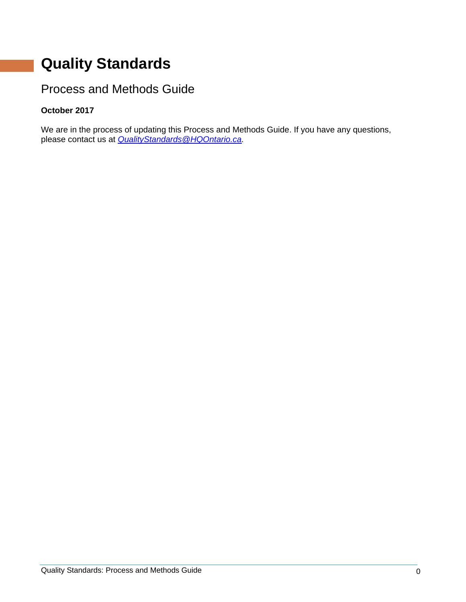## **Quality Standards**

## Process and Methods Guide

#### **October 2017**

We are in the process of updating this Process and Methods Guide. If you have any questions, please contact us at *[QualityStandards@HQOntario.ca.](mailto:QualityStandards@HQOntario.ca)*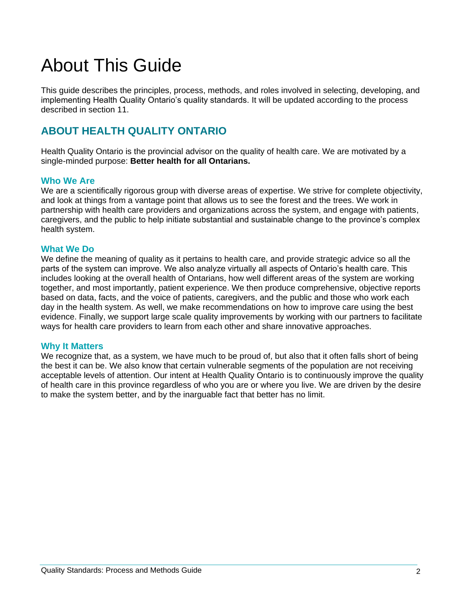# About This Guide

This guide describes the principles, process, methods, and roles involved in selecting, developing, and implementing Health Quality Ontario's quality standards. It will be updated according to the process described in section 11.

### **ABOUT HEALTH QUALITY ONTARIO**

Health Quality Ontario is the provincial advisor on the quality of health care. We are motivated by a single-minded purpose: **Better health for all Ontarians.**

#### **Who We Are**

We are a scientifically rigorous group with diverse areas of expertise. We strive for complete objectivity, and look at things from a vantage point that allows us to see the forest and the trees. We work in partnership with health care providers and organizations across the system, and engage with patients, caregivers, and the public to help initiate substantial and sustainable change to the province's complex health system.

#### **What We Do**

We define the meaning of quality as it pertains to health care, and provide strategic advice so all the parts of the system can improve. We also analyze virtually all aspects of Ontario's health care. This includes looking at the overall health of Ontarians, how well different areas of the system are working together, and most importantly, patient experience. We then produce comprehensive, objective reports based on data, facts, and the voice of patients, caregivers, and the public and those who work each day in the health system. As well, we make recommendations on how to improve care using the best evidence. Finally, we support large scale quality improvements by working with our partners to facilitate ways for health care providers to learn from each other and share innovative approaches.

#### **Why It Matters**

We recognize that, as a system, we have much to be proud of, but also that it often falls short of being the best it can be. We also know that certain vulnerable segments of the population are not receiving acceptable levels of attention. Our intent at Health Quality Ontario is to continuously improve the quality of health care in this province regardless of who you are or where you live. We are driven by the desire to make the system better, and by the inarguable fact that better has no limit.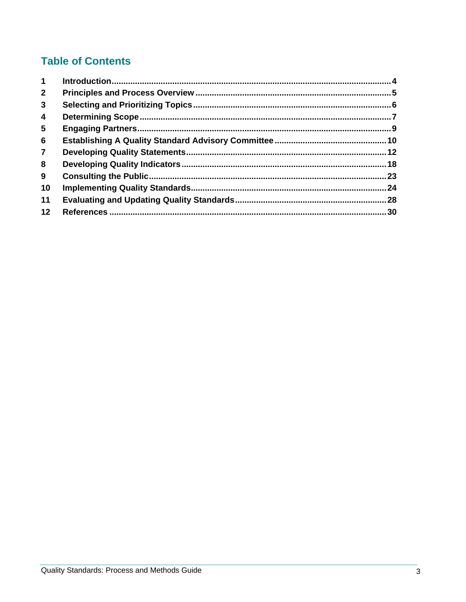## **Table of Contents**

| $\mathbf 1$     |  |
|-----------------|--|
| $\mathbf{2}$    |  |
| $\mathbf{3}$    |  |
| 4               |  |
| $5\phantom{.0}$ |  |
| 6               |  |
| $\overline{7}$  |  |
| 8               |  |
| 9               |  |
| 10              |  |
| 11              |  |
| 12              |  |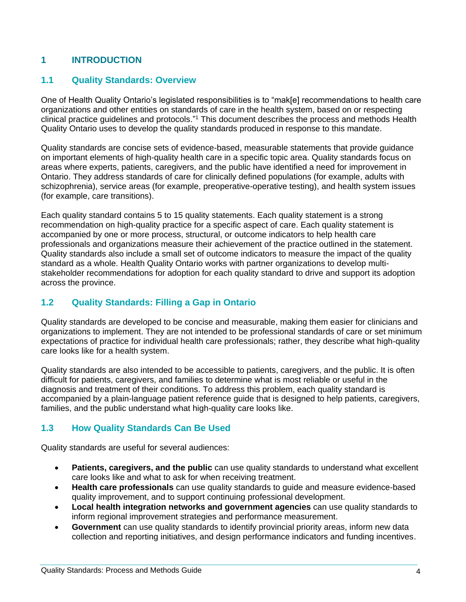#### **1 INTRODUCTION**

#### **1.1 Quality Standards: Overview**

One of Health Quality Ontario's legislated responsibilities is to "mak[e] recommendations to health care organizations and other entities on standards of care in the health system, based on or respecting clinical practice guidelines and protocols." <sup>1</sup> This document describes the process and methods Health Quality Ontario uses to develop the quality standards produced in response to this mandate.

Quality standards are concise sets of evidence-based, measurable statements that provide guidance on important elements of high-quality health care in a specific topic area. Quality standards focus on areas where experts, patients, caregivers, and the public have identified a need for improvement in Ontario. They address standards of care for clinically defined populations (for example, adults with schizophrenia), service areas (for example, preoperative-operative testing), and health system issues (for example, care transitions).

Each quality standard contains 5 to 15 quality statements. Each quality statement is a strong recommendation on high-quality practice for a specific aspect of care. Each quality statement is accompanied by one or more process, structural, or outcome indicators to help health care professionals and organizations measure their achievement of the practice outlined in the statement. Quality standards also include a small set of outcome indicators to measure the impact of the quality standard as a whole. Health Quality Ontario works with partner organizations to develop multistakeholder recommendations for adoption for each quality standard to drive and support its adoption across the province.

#### **1.2 Quality Standards: Filling a Gap in Ontario**

Quality standards are developed to be concise and measurable, making them easier for clinicians and organizations to implement. They are not intended to be professional standards of care or set minimum expectations of practice for individual health care professionals; rather, they describe what high-quality care looks like for a health system.

Quality standards are also intended to be accessible to patients, caregivers, and the public. It is often difficult for patients, caregivers, and families to determine what is most reliable or useful in the diagnosis and treatment of their conditions. To address this problem, each quality standard is accompanied by a plain-language patient reference guide that is designed to help patients, caregivers, families, and the public understand what high-quality care looks like.

#### **1.3 How Quality Standards Can Be Used**

Quality standards are useful for several audiences:

- **Patients, caregivers, and the public** can use quality standards to understand what excellent care looks like and what to ask for when receiving treatment.
- **Health care professionals** can use quality standards to guide and measure evidence-based quality improvement, and to support continuing professional development.
- **Local health integration networks and government agencies** can use quality standards to inform regional improvement strategies and performance measurement.
- **Government** can use quality standards to identify provincial priority areas, inform new data collection and reporting initiatives, and design performance indicators and funding incentives.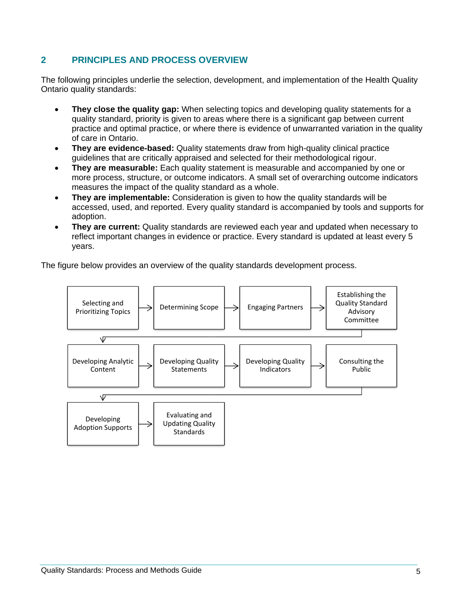#### **2 PRINCIPLES AND PROCESS OVERVIEW**

The following principles underlie the selection, development, and implementation of the Health Quality Ontario quality standards:

- **They close the quality gap:** When selecting topics and developing quality statements for a quality standard, priority is given to areas where there is a significant gap between current practice and optimal practice, or where there is evidence of unwarranted variation in the quality of care in Ontario.
- **They are evidence-based:** Quality statements draw from high-quality clinical practice guidelines that are critically appraised and selected for their methodological rigour.
- **They are measurable:** Each quality statement is measurable and accompanied by one or more process, structure, or outcome indicators. A small set of overarching outcome indicators measures the impact of the quality standard as a whole.
- **They are implementable:** Consideration is given to how the quality standards will be accessed, used, and reported. Every quality standard is accompanied by tools and supports for adoption.
- **They are current:** Quality standards are reviewed each year and updated when necessary to reflect important changes in evidence or practice. Every standard is updated at least every 5 years.

The figure below provides an overview of the quality standards development process.

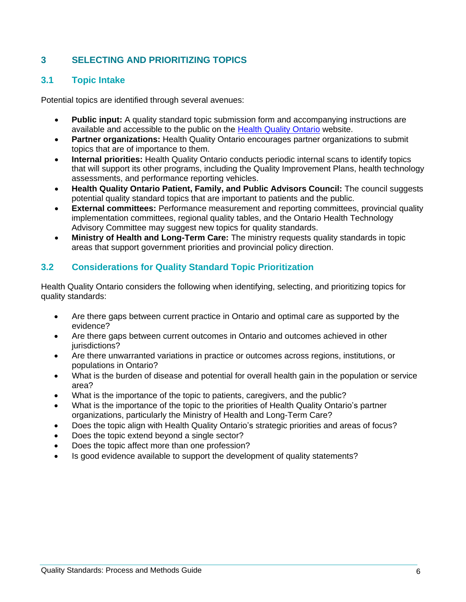#### **3 SELECTING AND PRIORITIZING TOPICS**

#### **3.1 Topic Intake**

Potential topics are identified through several avenues:

- **Public input:** A quality standard topic submission form and accompanying instructions are available and accessible to the public on the [Health Quality Ontario](http://www.hqontario.ca/Evidence-to-Improve-Care/Quality-Standards/Submit-a-Topic-for-a-Quality-Standard) website.
- **Partner organizations:** Health Quality Ontario encourages partner organizations to submit topics that are of importance to them.
- **Internal priorities:** Health Quality Ontario conducts periodic internal scans to identify topics that will support its other programs, including the Quality Improvement Plans, health technology assessments, and performance reporting vehicles.
- **Health Quality Ontario Patient, Family, and Public Advisors Council:** The council suggests potential quality standard topics that are important to patients and the public.
- **External committees:** Performance measurement and reporting committees, provincial quality implementation committees, regional quality tables, and the Ontario Health Technology Advisory Committee may suggest new topics for quality standards.
- **Ministry of Health and Long-Term Care:** The ministry requests quality standards in topic areas that support government priorities and provincial policy direction.

#### **3.2 Considerations for Quality Standard Topic Prioritization**

Health Quality Ontario considers the following when identifying, selecting, and prioritizing topics for quality standards:

- Are there gaps between current practice in Ontario and optimal care as supported by the evidence?
- Are there gaps between current outcomes in Ontario and outcomes achieved in other jurisdictions?
- Are there unwarranted variations in practice or outcomes across regions, institutions, or populations in Ontario?
- What is the burden of disease and potential for overall health gain in the population or service area?
- What is the importance of the topic to patients, caregivers, and the public?
- What is the importance of the topic to the priorities of Health Quality Ontario's partner organizations, particularly the Ministry of Health and Long-Term Care?
- Does the topic align with Health Quality Ontario's strategic priorities and areas of focus?
- Does the topic extend beyond a single sector?
- Does the topic affect more than one profession?
- Is good evidence available to support the development of quality statements?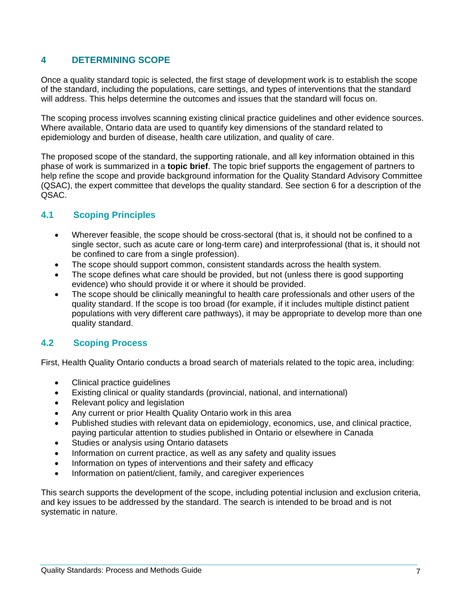#### **4 DETERMINING SCOPE**

Once a quality standard topic is selected, the first stage of development work is to establish the scope of the standard, including the populations, care settings, and types of interventions that the standard will address. This helps determine the outcomes and issues that the standard will focus on.

The scoping process involves scanning existing clinical practice guidelines and other evidence sources. Where available, Ontario data are used to quantify key dimensions of the standard related to epidemiology and burden of disease, health care utilization, and quality of care.

The proposed scope of the standard, the supporting rationale, and all key information obtained in this phase of work is summarized in a **topic brief**. The topic brief supports the engagement of partners to help refine the scope and provide background information for the Quality Standard Advisory Committee (QSAC), the expert committee that develops the quality standard. See section 6 for a description of the QSAC.

#### **4.1 Scoping Principles**

- Wherever feasible, the scope should be cross-sectoral (that is, it should not be confined to a single sector, such as acute care or long-term care) and interprofessional (that is, it should not be confined to care from a single profession).
- The scope should support common, consistent standards across the health system.
- The scope defines what care should be provided, but not (unless there is good supporting evidence) who should provide it or where it should be provided.
- The scope should be clinically meaningful to health care professionals and other users of the quality standard. If the scope is too broad (for example, if it includes multiple distinct patient populations with very different care pathways), it may be appropriate to develop more than one quality standard.

#### **4.2 Scoping Process**

First, Health Quality Ontario conducts a broad search of materials related to the topic area, including:

- Clinical practice guidelines
- Existing clinical or quality standards (provincial, national, and international)
- Relevant policy and legislation
- Any current or prior Health Quality Ontario work in this area
- Published studies with relevant data on epidemiology, economics, use, and clinical practice, paying particular attention to studies published in Ontario or elsewhere in Canada
- Studies or analysis using Ontario datasets
- Information on current practice, as well as any safety and quality issues
- Information on types of interventions and their safety and efficacy
- Information on patient/client, family, and caregiver experiences

This search supports the development of the scope, including potential inclusion and exclusion criteria, and key issues to be addressed by the standard. The search is intended to be broad and is not systematic in nature.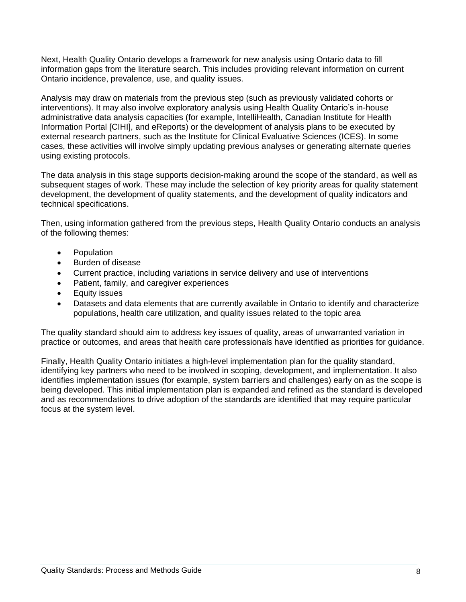Next, Health Quality Ontario develops a framework for new analysis using Ontario data to fill information gaps from the literature search. This includes providing relevant information on current Ontario incidence, prevalence, use, and quality issues.

Analysis may draw on materials from the previous step (such as previously validated cohorts or interventions). It may also involve exploratory analysis using Health Quality Ontario's in-house administrative data analysis capacities (for example, IntelliHealth, Canadian Institute for Health Information Portal [CIHI], and eReports) or the development of analysis plans to be executed by external research partners, such as the Institute for Clinical Evaluative Sciences (ICES). In some cases, these activities will involve simply updating previous analyses or generating alternate queries using existing protocols.

The data analysis in this stage supports decision-making around the scope of the standard, as well as subsequent stages of work. These may include the selection of key priority areas for quality statement development, the development of quality statements, and the development of quality indicators and technical specifications.

Then, using information gathered from the previous steps, Health Quality Ontario conducts an analysis of the following themes:

- Population
- Burden of disease
- Current practice, including variations in service delivery and use of interventions
- Patient, family, and caregiver experiences
- Equity issues
- Datasets and data elements that are currently available in Ontario to identify and characterize populations, health care utilization, and quality issues related to the topic area

The quality standard should aim to address key issues of quality, areas of unwarranted variation in practice or outcomes, and areas that health care professionals have identified as priorities for guidance.

Finally, Health Quality Ontario initiates a high-level implementation plan for the quality standard, identifying key partners who need to be involved in scoping, development, and implementation. It also identifies implementation issues (for example, system barriers and challenges) early on as the scope is being developed. This initial implementation plan is expanded and refined as the standard is developed and as recommendations to drive adoption of the standards are identified that may require particular focus at the system level.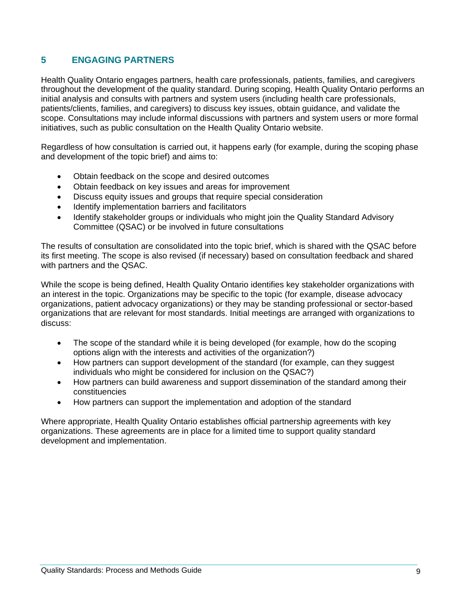#### **5 ENGAGING PARTNERS**

Health Quality Ontario engages partners, health care professionals, patients, families, and caregivers throughout the development of the quality standard. During scoping, Health Quality Ontario performs an initial analysis and consults with partners and system users (including health care professionals, patients/clients, families, and caregivers) to discuss key issues, obtain guidance, and validate the scope. Consultations may include informal discussions with partners and system users or more formal initiatives, such as public consultation on the Health Quality Ontario website.

Regardless of how consultation is carried out, it happens early (for example, during the scoping phase and development of the topic brief) and aims to:

- Obtain feedback on the scope and desired outcomes
- Obtain feedback on key issues and areas for improvement
- Discuss equity issues and groups that require special consideration
- Identify implementation barriers and facilitators
- Identify stakeholder groups or individuals who might join the Quality Standard Advisory Committee (QSAC) or be involved in future consultations

The results of consultation are consolidated into the topic brief, which is shared with the QSAC before its first meeting. The scope is also revised (if necessary) based on consultation feedback and shared with partners and the QSAC.

While the scope is being defined, Health Quality Ontario identifies key stakeholder organizations with an interest in the topic. Organizations may be specific to the topic (for example, disease advocacy organizations, patient advocacy organizations) or they may be standing professional or sector-based organizations that are relevant for most standards. Initial meetings are arranged with organizations to discuss:

- The scope of the standard while it is being developed (for example, how do the scoping options align with the interests and activities of the organization?)
- How partners can support development of the standard (for example, can they suggest individuals who might be considered for inclusion on the QSAC?)
- How partners can build awareness and support dissemination of the standard among their constituencies
- How partners can support the implementation and adoption of the standard

Where appropriate, Health Quality Ontario establishes official partnership agreements with key organizations. These agreements are in place for a limited time to support quality standard development and implementation.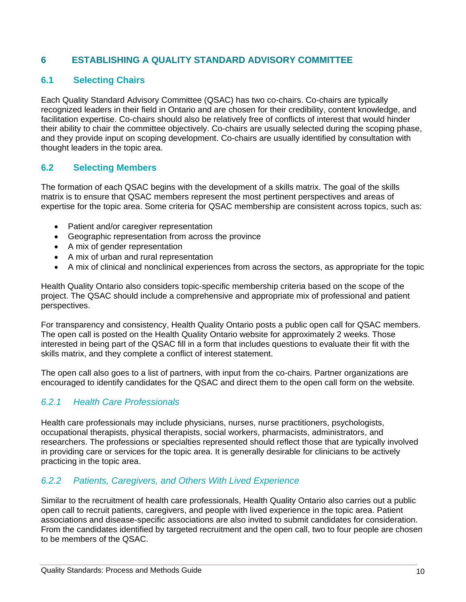#### **6 ESTABLISHING A QUALITY STANDARD ADVISORY COMMITTEE**

#### **6.1 Selecting Chairs**

Each Quality Standard Advisory Committee (QSAC) has two co-chairs. Co-chairs are typically recognized leaders in their field in Ontario and are chosen for their credibility, content knowledge, and facilitation expertise. Co-chairs should also be relatively free of conflicts of interest that would hinder their ability to chair the committee objectively. Co-chairs are usually selected during the scoping phase, and they provide input on scoping development. Co-chairs are usually identified by consultation with thought leaders in the topic area.

#### **6.2 Selecting Members**

The formation of each QSAC begins with the development of a skills matrix. The goal of the skills matrix is to ensure that QSAC members represent the most pertinent perspectives and areas of expertise for the topic area. Some criteria for QSAC membership are consistent across topics, such as:

- Patient and/or caregiver representation
- Geographic representation from across the province
- A mix of gender representation
- A mix of urban and rural representation
- A mix of clinical and nonclinical experiences from across the sectors, as appropriate for the topic

Health Quality Ontario also considers topic-specific membership criteria based on the scope of the project. The QSAC should include a comprehensive and appropriate mix of professional and patient perspectives.

For transparency and consistency, Health Quality Ontario posts a public open call for QSAC members. The open call is posted on the Health Quality Ontario website for approximately 2 weeks. Those interested in being part of the QSAC fill in a form that includes questions to evaluate their fit with the skills matrix, and they complete a conflict of interest statement.

The open call also goes to a list of partners, with input from the co-chairs. Partner organizations are encouraged to identify candidates for the QSAC and direct them to the open call form on the website.

#### *6.2.1 Health Care Professionals*

Health care professionals may include physicians, nurses, nurse practitioners, psychologists, occupational therapists, physical therapists, social workers, pharmacists, administrators, and researchers. The professions or specialties represented should reflect those that are typically involved in providing care or services for the topic area. It is generally desirable for clinicians to be actively practicing in the topic area.

#### *6.2.2 Patients, Caregivers, and Others With Lived Experience*

Similar to the recruitment of health care professionals, Health Quality Ontario also carries out a public open call to recruit patients, caregivers, and people with lived experience in the topic area. Patient associations and disease-specific associations are also invited to submit candidates for consideration. From the candidates identified by targeted recruitment and the open call, two to four people are chosen to be members of the QSAC.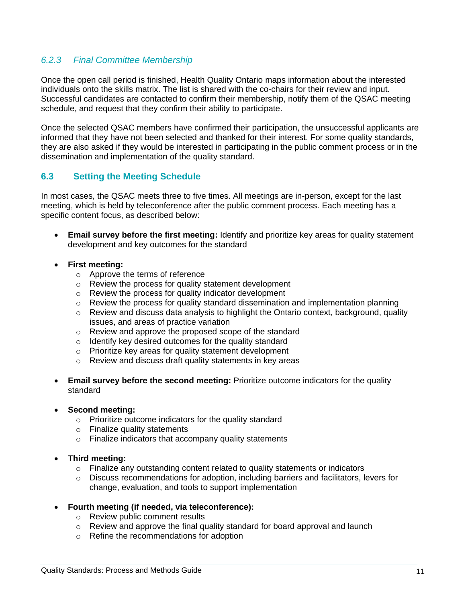#### *6.2.3 Final Committee Membership*

Once the open call period is finished, Health Quality Ontario maps information about the interested individuals onto the skills matrix. The list is shared with the co-chairs for their review and input. Successful candidates are contacted to confirm their membership, notify them of the QSAC meeting schedule, and request that they confirm their ability to participate.

Once the selected QSAC members have confirmed their participation, the unsuccessful applicants are informed that they have not been selected and thanked for their interest. For some quality standards, they are also asked if they would be interested in participating in the public comment process or in the dissemination and implementation of the quality standard.

#### **6.3 Setting the Meeting Schedule**

In most cases, the QSAC meets three to five times. All meetings are in-person, except for the last meeting, which is held by teleconference after the public comment process. Each meeting has a specific content focus, as described below:

• **Email survey before the first meeting:** Identify and prioritize key areas for quality statement development and key outcomes for the standard

#### • **First meeting:**

- o Approve the terms of reference
- o Review the process for quality statement development
- o Review the process for quality indicator development
- $\circ$  Review the process for quality standard dissemination and implementation planning
- $\circ$  Review and discuss data analysis to highlight the Ontario context, background, quality issues, and areas of practice variation
- o Review and approve the proposed scope of the standard
- o Identify key desired outcomes for the quality standard
- o Prioritize key areas for quality statement development
- o Review and discuss draft quality statements in key areas
- **Email survey before the second meeting:** Prioritize outcome indicators for the quality standard

#### • **Second meeting:**

- o Prioritize outcome indicators for the quality standard
- o Finalize quality statements
- o Finalize indicators that accompany quality statements
- **Third meeting:**
	- o Finalize any outstanding content related to quality statements or indicators
	- $\circ$  Discuss recommendations for adoption, including barriers and facilitators, levers for change, evaluation, and tools to support implementation
- **Fourth meeting (if needed, via teleconference):**
	- o Review public comment results
	- o Review and approve the final quality standard for board approval and launch
	- o Refine the recommendations for adoption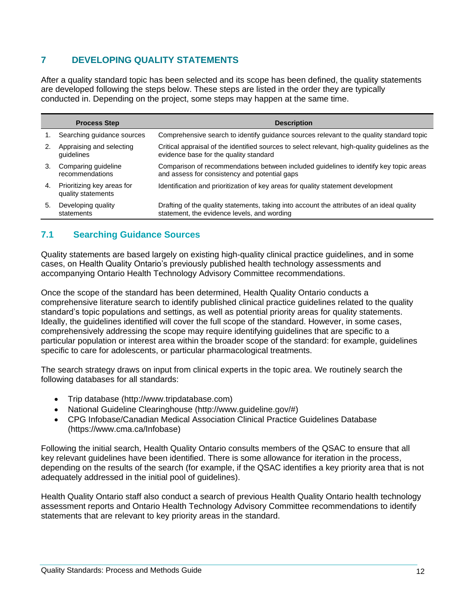#### **7 DEVELOPING QUALITY STATEMENTS**

After a quality standard topic has been selected and its scope has been defined, the quality statements are developed following the steps below. These steps are listed in the order they are typically conducted in. Depending on the project, some steps may happen at the same time.

|    | <b>Process Step</b>                              | <b>Description</b>                                                                                                                        |
|----|--------------------------------------------------|-------------------------------------------------------------------------------------------------------------------------------------------|
|    | Searching guidance sources                       | Comprehensive search to identify guidance sources relevant to the quality standard topic                                                  |
|    | Appraising and selecting<br>quidelines           | Critical appraisal of the identified sources to select relevant, high-quality guidelines as the<br>evidence base for the quality standard |
| 3. | Comparing guideline<br>recommendations           | Comparison of recommendations between included guidelines to identify key topic areas<br>and assess for consistency and potential gaps    |
| 4. | Prioritizing key areas for<br>quality statements | Identification and prioritization of key areas for quality statement development                                                          |
| 5. | Developing quality<br>statements                 | Drafting of the quality statements, taking into account the attributes of an ideal quality<br>statement, the evidence levels, and wording |

#### **7.1 Searching Guidance Sources**

Quality statements are based largely on existing high-quality clinical practice guidelines, and in some cases, on Health Quality Ontario's previously published health technology assessments and accompanying Ontario Health Technology Advisory Committee recommendations.

Once the scope of the standard has been determined, Health Quality Ontario conducts a comprehensive literature search to identify published clinical practice guidelines related to the quality standard's topic populations and settings, as well as potential priority areas for quality statements. Ideally, the guidelines identified will cover the full scope of the standard. However, in some cases, comprehensively addressing the scope may require identifying guidelines that are specific to a particular population or interest area within the broader scope of the standard: for example, guidelines specific to care for adolescents, or particular pharmacological treatments.

The search strategy draws on input from clinical experts in the topic area. We routinely search the following databases for all standards:

- Trip database (http:/[/www.tripdatabase.com\)](http://www.tripdatabase.com/)
- National Guideline Clearinghouse [\(http://www.guideline.gov/#\)](http://www.guideline.gov/)
- CPG Infobase/Canadian Medical Association Clinical Practice Guidelines Database [\(https://www.cma.ca/Infobase\)](https://www.cma.ca/Infobase)

Following the initial search, Health Quality Ontario consults members of the QSAC to ensure that all key relevant guidelines have been identified. There is some allowance for iteration in the process, depending on the results of the search (for example, if the QSAC identifies a key priority area that is not adequately addressed in the initial pool of guidelines).

Health Quality Ontario staff also conduct a search of previous Health Quality Ontario health technology assessment reports and Ontario Health Technology Advisory Committee recommendations to identify statements that are relevant to key priority areas in the standard.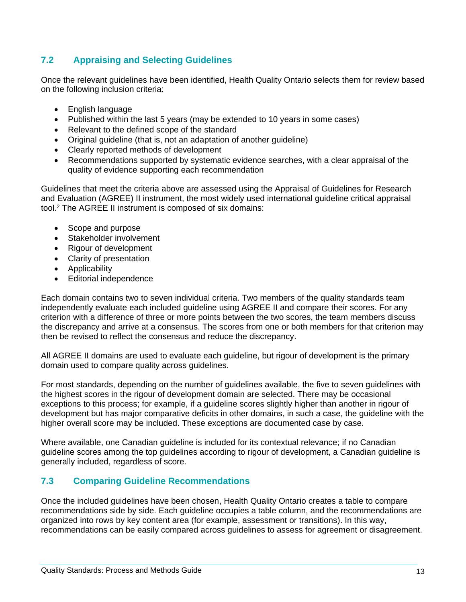#### **7.2 Appraising and Selecting Guidelines**

Once the relevant guidelines have been identified, Health Quality Ontario selects them for review based on the following inclusion criteria:

- English language
- Published within the last 5 years (may be extended to 10 years in some cases)
- Relevant to the defined scope of the standard
- Original guideline (that is, not an adaptation of another guideline)
- Clearly reported methods of development
- Recommendations supported by systematic evidence searches, with a clear appraisal of the quality of evidence supporting each recommendation

Guidelines that meet the criteria above are assessed using the Appraisal of Guidelines for Research and Evaluation (AGREE) II instrument, the most widely used international guideline critical appraisal tool. <sup>2</sup> The AGREE II instrument is composed of six domains:

- Scope and purpose
- Stakeholder involvement
- Rigour of development
- Clarity of presentation
- Applicability
- Editorial independence

Each domain contains two to seven individual criteria. Two members of the quality standards team independently evaluate each included guideline using AGREE II and compare their scores. For any criterion with a difference of three or more points between the two scores, the team members discuss the discrepancy and arrive at a consensus. The scores from one or both members for that criterion may then be revised to reflect the consensus and reduce the discrepancy.

All AGREE II domains are used to evaluate each guideline, but rigour of development is the primary domain used to compare quality across guidelines.

For most standards, depending on the number of guidelines available, the five to seven guidelines with the highest scores in the rigour of development domain are selected. There may be occasional exceptions to this process; for example, if a guideline scores slightly higher than another in rigour of development but has major comparative deficits in other domains, in such a case, the guideline with the higher overall score may be included. These exceptions are documented case by case.

Where available, one Canadian guideline is included for its contextual relevance; if no Canadian guideline scores among the top guidelines according to rigour of development, a Canadian guideline is generally included, regardless of score.

#### **7.3 Comparing Guideline Recommendations**

Once the included guidelines have been chosen, Health Quality Ontario creates a table to compare recommendations side by side. Each guideline occupies a table column, and the recommendations are organized into rows by key content area (for example, assessment or transitions). In this way, recommendations can be easily compared across guidelines to assess for agreement or disagreement.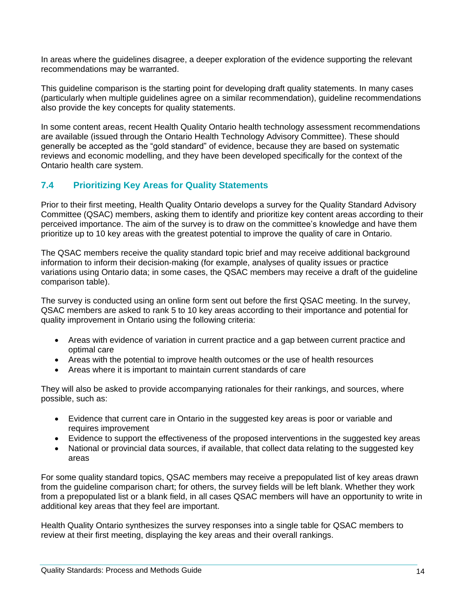In areas where the guidelines disagree, a deeper exploration of the evidence supporting the relevant recommendations may be warranted.

This guideline comparison is the starting point for developing draft quality statements. In many cases (particularly when multiple guidelines agree on a similar recommendation), guideline recommendations also provide the key concepts for quality statements.

In some content areas, recent Health Quality Ontario health technology assessment recommendations are available (issued through the Ontario Health Technology Advisory Committee). These should generally be accepted as the "gold standard" of evidence, because they are based on systematic reviews and economic modelling, and they have been developed specifically for the context of the Ontario health care system.

#### **7.4 Prioritizing Key Areas for Quality Statements**

Prior to their first meeting, Health Quality Ontario develops a survey for the Quality Standard Advisory Committee (QSAC) members, asking them to identify and prioritize key content areas according to their perceived importance. The aim of the survey is to draw on the committee's knowledge and have them prioritize up to 10 key areas with the greatest potential to improve the quality of care in Ontario.

The QSAC members receive the quality standard topic brief and may receive additional background information to inform their decision-making (for example, analyses of quality issues or practice variations using Ontario data; in some cases, the QSAC members may receive a draft of the guideline comparison table).

The survey is conducted using an online form sent out before the first QSAC meeting. In the survey, QSAC members are asked to rank 5 to 10 key areas according to their importance and potential for quality improvement in Ontario using the following criteria:

- Areas with evidence of variation in current practice and a gap between current practice and optimal care
- Areas with the potential to improve health outcomes or the use of health resources
- Areas where it is important to maintain current standards of care

They will also be asked to provide accompanying rationales for their rankings, and sources, where possible, such as:

- Evidence that current care in Ontario in the suggested key areas is poor or variable and requires improvement
- Evidence to support the effectiveness of the proposed interventions in the suggested key areas
- National or provincial data sources, if available, that collect data relating to the suggested key areas

For some quality standard topics, QSAC members may receive a prepopulated list of key areas drawn from the guideline comparison chart; for others, the survey fields will be left blank. Whether they work from a prepopulated list or a blank field, in all cases QSAC members will have an opportunity to write in additional key areas that they feel are important.

Health Quality Ontario synthesizes the survey responses into a single table for QSAC members to review at their first meeting, displaying the key areas and their overall rankings.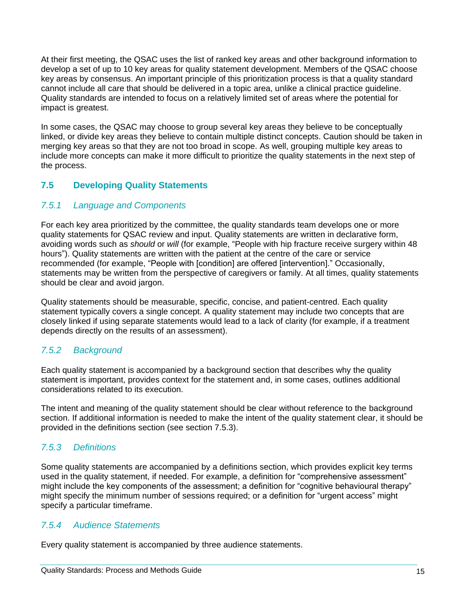At their first meeting, the QSAC uses the list of ranked key areas and other background information to develop a set of up to 10 key areas for quality statement development. Members of the QSAC choose key areas by consensus. An important principle of this prioritization process is that a quality standard cannot include all care that should be delivered in a topic area, unlike a clinical practice guideline. Quality standards are intended to focus on a relatively limited set of areas where the potential for impact is greatest.

In some cases, the QSAC may choose to group several key areas they believe to be conceptually linked, or divide key areas they believe to contain multiple distinct concepts. Caution should be taken in merging key areas so that they are not too broad in scope. As well, grouping multiple key areas to include more concepts can make it more difficult to prioritize the quality statements in the next step of the process.

#### **7.5 Developing Quality Statements**

#### *7.5.1 Language and Components*

For each key area prioritized by the committee, the quality standards team develops one or more quality statements for QSAC review and input. Quality statements are written in declarative form, avoiding words such as *should* or *will* (for example, "People with hip fracture receive surgery within 48 hours"). Quality statements are written with the patient at the centre of the care or service recommended (for example, "People with [condition] are offered [intervention]." Occasionally, statements may be written from the perspective of caregivers or family. At all times, quality statements should be clear and avoid jargon.

Quality statements should be measurable, specific, concise, and patient-centred. Each quality statement typically covers a single concept. A quality statement may include two concepts that are closely linked if using separate statements would lead to a lack of clarity (for example, if a treatment depends directly on the results of an assessment).

#### *7.5.2 Background*

Each quality statement is accompanied by a background section that describes why the quality statement is important, provides context for the statement and, in some cases, outlines additional considerations related to its execution.

The intent and meaning of the quality statement should be clear without reference to the background section. If additional information is needed to make the intent of the quality statement clear, it should be provided in the definitions section (see section 7.5.3).

#### *7.5.3 Definitions*

Some quality statements are accompanied by a definitions section, which provides explicit key terms used in the quality statement, if needed. For example, a definition for "comprehensive assessment" might include the key components of the assessment; a definition for "cognitive behavioural therapy" might specify the minimum number of sessions required; or a definition for "urgent access" might specify a particular timeframe.

#### *7.5.4 Audience Statements*

Every quality statement is accompanied by three audience statements.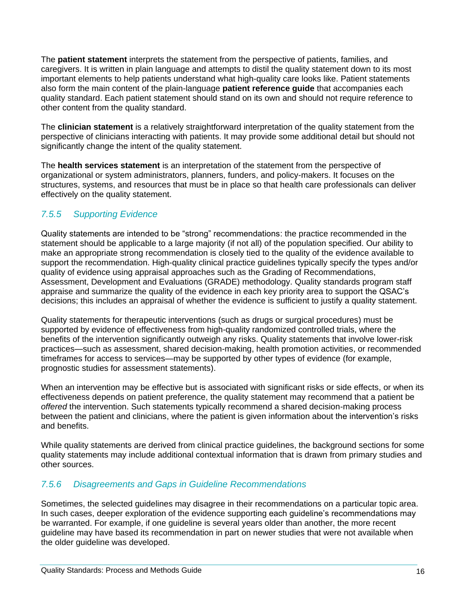The **patient statement** interprets the statement from the perspective of patients, families, and caregivers. It is written in plain language and attempts to distil the quality statement down to its most important elements to help patients understand what high-quality care looks like. Patient statements also form the main content of the plain-language **patient reference guide** that accompanies each quality standard. Each patient statement should stand on its own and should not require reference to other content from the quality standard.

The **clinician statement** is a relatively straightforward interpretation of the quality statement from the perspective of clinicians interacting with patients. It may provide some additional detail but should not significantly change the intent of the quality statement.

The **health services statement** is an interpretation of the statement from the perspective of organizational or system administrators, planners, funders, and policy-makers. It focuses on the structures, systems, and resources that must be in place so that health care professionals can deliver effectively on the quality statement.

#### *7.5.5 Supporting Evidence*

Quality statements are intended to be "strong" recommendations: the practice recommended in the statement should be applicable to a large majority (if not all) of the population specified. Our ability to make an appropriate strong recommendation is closely tied to the quality of the evidence available to support the recommendation. High-quality clinical practice guidelines typically specify the types and/or quality of evidence using appraisal approaches such as the Grading of Recommendations, Assessment, Development and Evaluations (GRADE) methodology. Quality standards program staff appraise and summarize the quality of the evidence in each key priority area to support the QSAC's decisions; this includes an appraisal of whether the evidence is sufficient to justify a quality statement.

Quality statements for therapeutic interventions (such as drugs or surgical procedures) must be supported by evidence of effectiveness from high-quality randomized controlled trials, where the benefits of the intervention significantly outweigh any risks. Quality statements that involve lower-risk practices—such as assessment, shared decision-making, health promotion activities, or recommended timeframes for access to services—may be supported by other types of evidence (for example, prognostic studies for assessment statements).

When an intervention may be effective but is associated with significant risks or side effects, or when its effectiveness depends on patient preference, the quality statement may recommend that a patient be *offered* the intervention. Such statements typically recommend a shared decision-making process between the patient and clinicians, where the patient is given information about the intervention's risks and benefits.

While quality statements are derived from clinical practice guidelines, the background sections for some quality statements may include additional contextual information that is drawn from primary studies and other sources.

#### *7.5.6 Disagreements and Gaps in Guideline Recommendations*

Sometimes, the selected guidelines may disagree in their recommendations on a particular topic area. In such cases, deeper exploration of the evidence supporting each guideline's recommendations may be warranted. For example, if one guideline is several years older than another, the more recent guideline may have based its recommendation in part on newer studies that were not available when the older guideline was developed.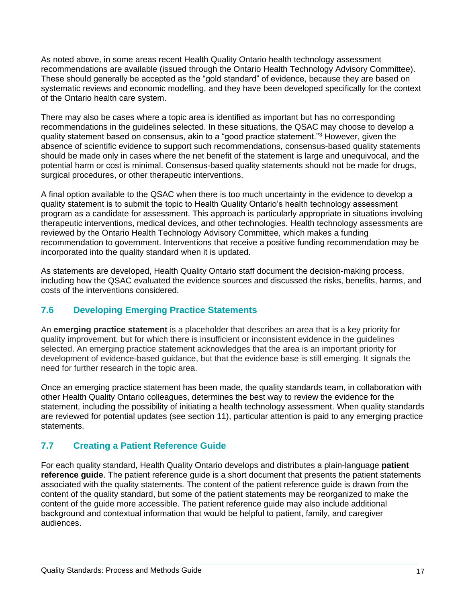As noted above, in some areas recent Health Quality Ontario health technology assessment recommendations are available (issued through the Ontario Health Technology Advisory Committee). These should generally be accepted as the "gold standard" of evidence, because they are based on systematic reviews and economic modelling, and they have been developed specifically for the context of the Ontario health care system.

There may also be cases where a topic area is identified as important but has no corresponding recommendations in the guidelines selected. In these situations, the QSAC may choose to develop a quality statement based on consensus, akin to a "good practice statement."<sup>3</sup> However, given the absence of scientific evidence to support such recommendations, consensus-based quality statements should be made only in cases where the net benefit of the statement is large and unequivocal, and the potential harm or cost is minimal. Consensus-based quality statements should not be made for drugs, surgical procedures, or other therapeutic interventions.

A final option available to the QSAC when there is too much uncertainty in the evidence to develop a quality statement is to submit the topic to Health Quality Ontario's health technology assessment program as a candidate for assessment. This approach is particularly appropriate in situations involving therapeutic interventions, medical devices, and other technologies. Health technology assessments are reviewed by the Ontario Health Technology Advisory Committee, which makes a funding recommendation to government. Interventions that receive a positive funding recommendation may be incorporated into the quality standard when it is updated.

As statements are developed, Health Quality Ontario staff document the decision-making process, including how the QSAC evaluated the evidence sources and discussed the risks, benefits, harms, and costs of the interventions considered.

#### **7.6 Developing Emerging Practice Statements**

An **emerging practice statement** is a placeholder that describes an area that is a key priority for quality improvement, but for which there is insufficient or inconsistent evidence in the guidelines selected. An emerging practice statement acknowledges that the area is an important priority for development of evidence-based guidance, but that the evidence base is still emerging. It signals the need for further research in the topic area.

Once an emerging practice statement has been made, the quality standards team, in collaboration with other Health Quality Ontario colleagues, determines the best way to review the evidence for the statement, including the possibility of initiating a health technology assessment. When quality standards are reviewed for potential updates (see section 11), particular attention is paid to any emerging practice statements.

#### **7.7 Creating a Patient Reference Guide**

For each quality standard, Health Quality Ontario develops and distributes a plain-language **patient reference guide**. The patient reference guide is a short document that presents the patient statements associated with the quality statements. The content of the patient reference guide is drawn from the content of the quality standard, but some of the patient statements may be reorganized to make the content of the guide more accessible. The patient reference guide may also include additional background and contextual information that would be helpful to patient, family, and caregiver audiences.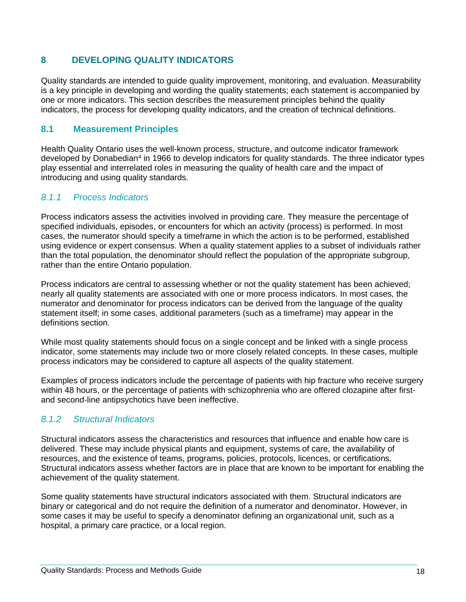#### **8 DEVELOPING QUALITY INDICATORS**

Quality standards are intended to guide quality improvement, monitoring, and evaluation. Measurability is a key principle in developing and wording the quality statements; each statement is accompanied by one or more indicators. This section describes the measurement principles behind the quality indicators, the process for developing quality indicators, and the creation of technical definitions.

#### **8.1 Measurement Principles**

Health Quality Ontario uses the well-known process, structure, and outcome indicator framework developed by Donabedian<sup>4</sup> in 1966 to develop indicators for quality standards. The three indicator types play essential and interrelated roles in measuring the quality of health care and the impact of introducing and using quality standards.

#### *8.1.1 Process Indicators*

Process indicators assess the activities involved in providing care. They measure the percentage of specified individuals, episodes, or encounters for which an activity (process) is performed. In most cases, the numerator should specify a timeframe in which the action is to be performed, established using evidence or expert consensus. When a quality statement applies to a subset of individuals rather than the total population, the denominator should reflect the population of the appropriate subgroup, rather than the entire Ontario population.

Process indicators are central to assessing whether or not the quality statement has been achieved; nearly all quality statements are associated with one or more process indicators. In most cases, the numerator and denominator for process indicators can be derived from the language of the quality statement itself; in some cases, additional parameters (such as a timeframe) may appear in the definitions section.

While most quality statements should focus on a single concept and be linked with a single process indicator, some statements may include two or more closely related concepts. In these cases, multiple process indicators may be considered to capture all aspects of the quality statement.

Examples of process indicators include the percentage of patients with hip fracture who receive surgery within 48 hours, or the percentage of patients with schizophrenia who are offered clozapine after firstand second-line antipsychotics have been ineffective.

#### *8.1.2 Structural Indicators*

Structural indicators assess the characteristics and resources that influence and enable how care is delivered. These may include physical plants and equipment, systems of care, the availability of resources, and the existence of teams, programs, policies, protocols, licences, or certifications. Structural indicators assess whether factors are in place that are known to be important for enabling the achievement of the quality statement.

Some quality statements have structural indicators associated with them. Structural indicators are binary or categorical and do not require the definition of a numerator and denominator. However, in some cases it may be useful to specify a denominator defining an organizational unit, such as a hospital, a primary care practice, or a local region.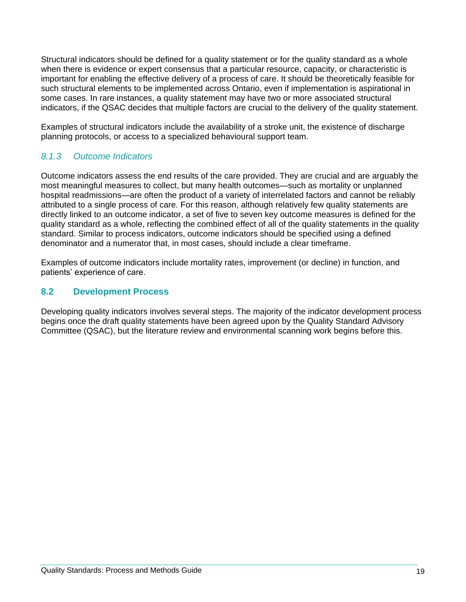Structural indicators should be defined for a quality statement or for the quality standard as a whole when there is evidence or expert consensus that a particular resource, capacity, or characteristic is important for enabling the effective delivery of a process of care. It should be theoretically feasible for such structural elements to be implemented across Ontario, even if implementation is aspirational in some cases. In rare instances, a quality statement may have two or more associated structural indicators, if the QSAC decides that multiple factors are crucial to the delivery of the quality statement.

Examples of structural indicators include the availability of a stroke unit, the existence of discharge planning protocols, or access to a specialized behavioural support team.

#### *8.1.3 Outcome Indicators*

Outcome indicators assess the end results of the care provided. They are crucial and are arguably the most meaningful measures to collect, but many health outcomes—such as mortality or unplanned hospital readmissions—are often the product of a variety of interrelated factors and cannot be reliably attributed to a single process of care. For this reason, although relatively few quality statements are directly linked to an outcome indicator, a set of five to seven key outcome measures is defined for the quality standard as a whole, reflecting the combined effect of all of the quality statements in the quality standard. Similar to process indicators, outcome indicators should be specified using a defined denominator and a numerator that, in most cases, should include a clear timeframe.

Examples of outcome indicators include mortality rates, improvement (or decline) in function, and patients' experience of care.

#### **8.2 Development Process**

Developing quality indicators involves several steps. The majority of the indicator development process begins once the draft quality statements have been agreed upon by the Quality Standard Advisory Committee (QSAC), but the literature review and environmental scanning work begins before this.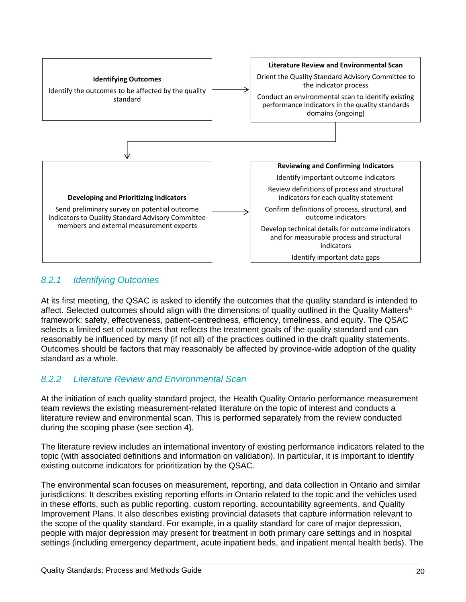

#### *8.2.1 Identifying Outcomes*

At its first meeting, the QSAC is asked to identify the outcomes that the quality standard is intended to affect. Selected outcomes should align with the dimensions of quality outlined in the Quality Matters<sup>5</sup> framework: safety, effectiveness, patient-centredness, efficiency, timeliness, and equity. The QSAC selects a limited set of outcomes that reflects the treatment goals of the quality standard and can reasonably be influenced by many (if not all) of the practices outlined in the draft quality statements. Outcomes should be factors that may reasonably be affected by province-wide adoption of the quality standard as a whole.

#### *8.2.2 Literature Review and Environmental Scan*

At the initiation of each quality standard project, the Health Quality Ontario performance measurement team reviews the existing measurement-related literature on the topic of interest and conducts a literature review and environmental scan. This is performed separately from the review conducted during the scoping phase (see section 4).

The literature review includes an international inventory of existing performance indicators related to the topic (with associated definitions and information on validation). In particular, it is important to identify existing outcome indicators for prioritization by the QSAC.

The environmental scan focuses on measurement, reporting, and data collection in Ontario and similar jurisdictions. It describes existing reporting efforts in Ontario related to the topic and the vehicles used in these efforts, such as public reporting, custom reporting, accountability agreements, and Quality Improvement Plans. It also describes existing provincial datasets that capture information relevant to the scope of the quality standard. For example, in a quality standard for care of major depression, people with major depression may present for treatment in both primary care settings and in hospital settings (including emergency department, acute inpatient beds, and inpatient mental health beds). The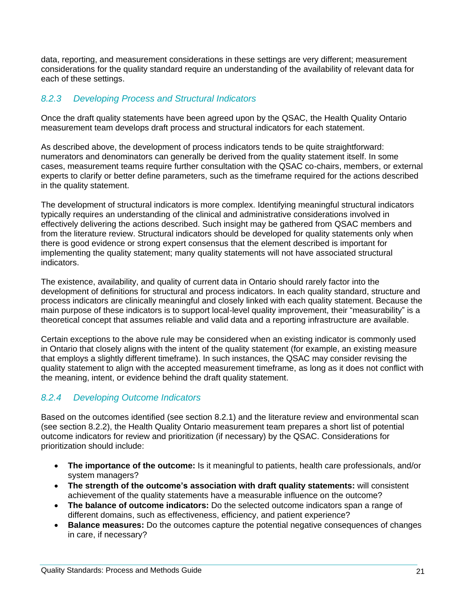data, reporting, and measurement considerations in these settings are very different; measurement considerations for the quality standard require an understanding of the availability of relevant data for each of these settings.

#### *8.2.3 Developing Process and Structural Indicators*

Once the draft quality statements have been agreed upon by the QSAC, the Health Quality Ontario measurement team develops draft process and structural indicators for each statement.

As described above, the development of process indicators tends to be quite straightforward: numerators and denominators can generally be derived from the quality statement itself. In some cases, measurement teams require further consultation with the QSAC co-chairs, members, or external experts to clarify or better define parameters, such as the timeframe required for the actions described in the quality statement.

The development of structural indicators is more complex. Identifying meaningful structural indicators typically requires an understanding of the clinical and administrative considerations involved in effectively delivering the actions described. Such insight may be gathered from QSAC members and from the literature review. Structural indicators should be developed for quality statements only when there is good evidence or strong expert consensus that the element described is important for implementing the quality statement; many quality statements will not have associated structural indicators.

The existence, availability, and quality of current data in Ontario should rarely factor into the development of definitions for structural and process indicators. In each quality standard, structure and process indicators are clinically meaningful and closely linked with each quality statement. Because the main purpose of these indicators is to support local-level quality improvement, their "measurability" is a theoretical concept that assumes reliable and valid data and a reporting infrastructure are available.

Certain exceptions to the above rule may be considered when an existing indicator is commonly used in Ontario that closely aligns with the intent of the quality statement (for example, an existing measure that employs a slightly different timeframe). In such instances, the QSAC may consider revising the quality statement to align with the accepted measurement timeframe, as long as it does not conflict with the meaning, intent, or evidence behind the draft quality statement.

#### *8.2.4 Developing Outcome Indicators*

Based on the outcomes identified (see section 8.2.1) and the literature review and environmental scan (see section 8.2.2), the Health Quality Ontario measurement team prepares a short list of potential outcome indicators for review and prioritization (if necessary) by the QSAC. Considerations for prioritization should include:

- **The importance of the outcome:** Is it meaningful to patients, health care professionals, and/or system managers?
- **The strength of the outcome's association with draft quality statements:** will consistent achievement of the quality statements have a measurable influence on the outcome?
- **The balance of outcome indicators:** Do the selected outcome indicators span a range of different domains, such as effectiveness, efficiency, and patient experience?
- **Balance measures:** Do the outcomes capture the potential negative consequences of changes in care, if necessary?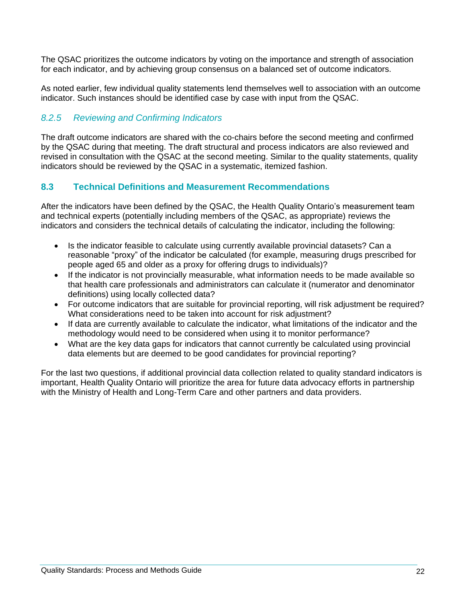The QSAC prioritizes the outcome indicators by voting on the importance and strength of association for each indicator, and by achieving group consensus on a balanced set of outcome indicators.

As noted earlier, few individual quality statements lend themselves well to association with an outcome indicator. Such instances should be identified case by case with input from the QSAC.

#### *8.2.5 Reviewing and Confirming Indicators*

The draft outcome indicators are shared with the co-chairs before the second meeting and confirmed by the QSAC during that meeting. The draft structural and process indicators are also reviewed and revised in consultation with the QSAC at the second meeting. Similar to the quality statements, quality indicators should be reviewed by the QSAC in a systematic, itemized fashion.

#### **8.3 Technical Definitions and Measurement Recommendations**

After the indicators have been defined by the QSAC, the Health Quality Ontario's measurement team and technical experts (potentially including members of the QSAC, as appropriate) reviews the indicators and considers the technical details of calculating the indicator, including the following:

- Is the indicator feasible to calculate using currently available provincial datasets? Can a reasonable "proxy" of the indicator be calculated (for example, measuring drugs prescribed for people aged 65 and older as a proxy for offering drugs to individuals)?
- If the indicator is not provincially measurable, what information needs to be made available so that health care professionals and administrators can calculate it (numerator and denominator definitions) using locally collected data?
- For outcome indicators that are suitable for provincial reporting, will risk adjustment be required? What considerations need to be taken into account for risk adjustment?
- If data are currently available to calculate the indicator, what limitations of the indicator and the methodology would need to be considered when using it to monitor performance?
- What are the key data gaps for indicators that cannot currently be calculated using provincial data elements but are deemed to be good candidates for provincial reporting?

For the last two questions, if additional provincial data collection related to quality standard indicators is important, Health Quality Ontario will prioritize the area for future data advocacy efforts in partnership with the Ministry of Health and Long-Term Care and other partners and data providers.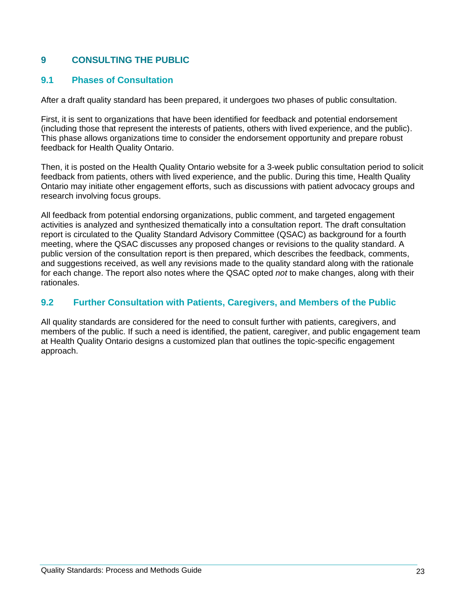#### **9 CONSULTING THE PUBLIC**

#### **9.1 Phases of Consultation**

After a draft quality standard has been prepared, it undergoes two phases of public consultation.

First, it is sent to organizations that have been identified for feedback and potential endorsement (including those that represent the interests of patients, others with lived experience, and the public). This phase allows organizations time to consider the endorsement opportunity and prepare robust feedback for Health Quality Ontario.

Then, it is posted on the Health Quality Ontario website for a 3-week public consultation period to solicit feedback from patients, others with lived experience, and the public. During this time, Health Quality Ontario may initiate other engagement efforts, such as discussions with patient advocacy groups and research involving focus groups.

All feedback from potential endorsing organizations, public comment, and targeted engagement activities is analyzed and synthesized thematically into a consultation report. The draft consultation report is circulated to the Quality Standard Advisory Committee (QSAC) as background for a fourth meeting, where the QSAC discusses any proposed changes or revisions to the quality standard. A public version of the consultation report is then prepared, which describes the feedback, comments, and suggestions received, as well any revisions made to the quality standard along with the rationale for each change. The report also notes where the QSAC opted *not* to make changes, along with their rationales.

#### **9.2 Further Consultation with Patients, Caregivers, and Members of the Public**

All quality standards are considered for the need to consult further with patients, caregivers, and members of the public. If such a need is identified, the patient, caregiver, and public engagement team at Health Quality Ontario designs a customized plan that outlines the topic-specific engagement approach.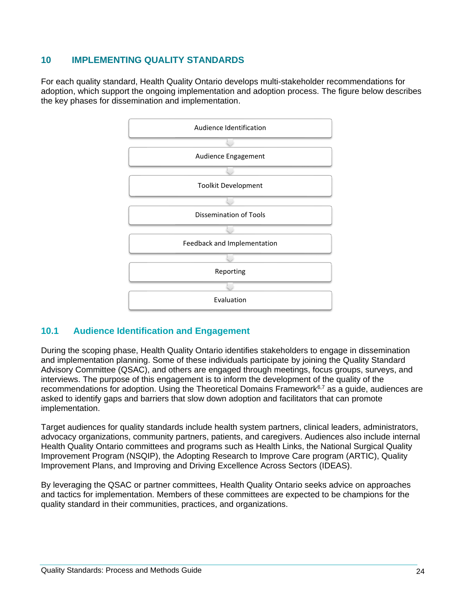#### **10 IMPLEMENTING QUALITY STANDARDS**

For each quality standard, Health Quality Ontario develops multi-stakeholder recommendations for adoption, which support the ongoing implementation and adoption process. The figure below describes the key phases for dissemination and implementation.



#### **10.1 Audience Identification and Engagement**

During the scoping phase, Health Quality Ontario identifies stakeholders to engage in dissemination and implementation planning. Some of these individuals participate by joining the Quality Standard Advisory Committee (QSAC), and others are engaged through meetings, focus groups, surveys, and interviews. The purpose of this engagement is to inform the development of the quality of the recommendations for adoption. Using the Theoretical Domains Framework<sup>6,7</sup> as a guide, audiences are asked to identify gaps and barriers that slow down adoption and facilitators that can promote implementation.

Target audiences for quality standards include health system partners, clinical leaders, administrators, advocacy organizations, community partners, patients, and caregivers. Audiences also include internal Health Quality Ontario committees and programs such as Health Links, the National Surgical Quality Improvement Program (NSQIP), the Adopting Research to Improve Care program (ARTIC), Quality Improvement Plans, and Improving and Driving Excellence Across Sectors (IDEAS).

By leveraging the QSAC or partner committees, Health Quality Ontario seeks advice on approaches and tactics for implementation. Members of these committees are expected to be champions for the quality standard in their communities, practices, and organizations.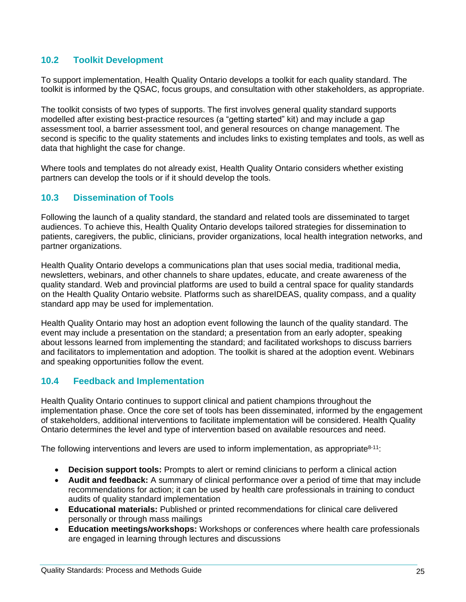#### **10.2 Toolkit Development**

To support implementation, Health Quality Ontario develops a toolkit for each quality standard. The toolkit is informed by the QSAC, focus groups, and consultation with other stakeholders, as appropriate.

The toolkit consists of two types of supports. The first involves general quality standard supports modelled after existing best-practice resources (a "getting started" kit) and may include a gap assessment tool, a barrier assessment tool, and general resources on change management. The second is specific to the quality statements and includes links to existing templates and tools, as well as data that highlight the case for change.

Where tools and templates do not already exist, Health Quality Ontario considers whether existing partners can develop the tools or if it should develop the tools.

#### **10.3 Dissemination of Tools**

Following the launch of a quality standard, the standard and related tools are disseminated to target audiences. To achieve this, Health Quality Ontario develops tailored strategies for dissemination to patients, caregivers, the public, clinicians, provider organizations, local health integration networks, and partner organizations.

Health Quality Ontario develops a communications plan that uses social media, traditional media, newsletters, webinars, and other channels to share updates, educate, and create awareness of the quality standard. Web and provincial platforms are used to build a central space for quality standards on the Health Quality Ontario website. Platforms such as shareIDEAS, quality compass, and a quality standard app may be used for implementation.

Health Quality Ontario may host an adoption event following the launch of the quality standard. The event may include a presentation on the standard; a presentation from an early adopter, speaking about lessons learned from implementing the standard; and facilitated workshops to discuss barriers and facilitators to implementation and adoption. The toolkit is shared at the adoption event. Webinars and speaking opportunities follow the event.

#### **10.4 Feedback and Implementation**

Health Quality Ontario continues to support clinical and patient champions throughout the implementation phase. Once the core set of tools has been disseminated, informed by the engagement of stakeholders, additional interventions to facilitate implementation will be considered. Health Quality Ontario determines the level and type of intervention based on available resources and need.

The following interventions and levers are used to inform implementation, as appropriate<sup>8-11</sup>:

- **Decision support tools:** Prompts to alert or remind clinicians to perform a clinical action
- **Audit and feedback:** A summary of clinical performance over a period of time that may include recommendations for action; it can be used by health care professionals in training to conduct audits of quality standard implementation
- **Educational materials:** Published or printed recommendations for clinical care delivered personally or through mass mailings
- **Education meetings/workshops:** Workshops or conferences where health care professionals are engaged in learning through lectures and discussions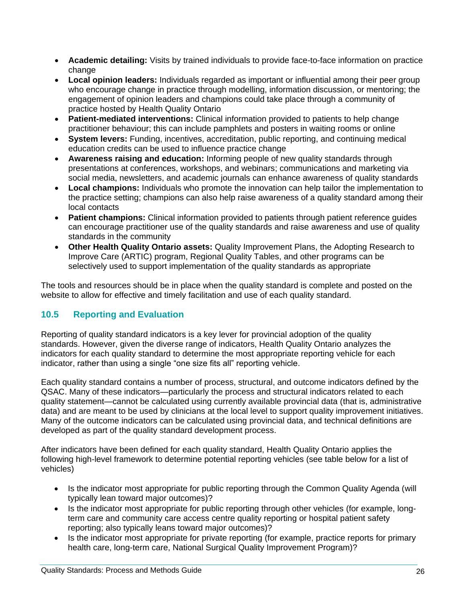- **Academic detailing:** Visits by trained individuals to provide face-to-face information on practice change
- **Local opinion leaders:** Individuals regarded as important or influential among their peer group who encourage change in practice through modelling, information discussion, or mentoring; the engagement of opinion leaders and champions could take place through a community of practice hosted by Health Quality Ontario
- **Patient-mediated interventions:** Clinical information provided to patients to help change practitioner behaviour; this can include pamphlets and posters in waiting rooms or online
- **System levers:** Funding, incentives, accreditation, public reporting, and continuing medical education credits can be used to influence practice change
- **Awareness raising and education:** Informing people of new quality standards through presentations at conferences, workshops, and webinars; communications and marketing via social media, newsletters, and academic journals can enhance awareness of quality standards
- **Local champions:** Individuals who promote the innovation can help tailor the implementation to the practice setting; champions can also help raise awareness of a quality standard among their local contacts
- **Patient champions:** Clinical information provided to patients through patient reference guides can encourage practitioner use of the quality standards and raise awareness and use of quality standards in the community
- **Other Health Quality Ontario assets:** Quality Improvement Plans, the Adopting Research to Improve Care (ARTIC) program, Regional Quality Tables, and other programs can be selectively used to support implementation of the quality standards as appropriate

The tools and resources should be in place when the quality standard is complete and posted on the website to allow for effective and timely facilitation and use of each quality standard.

#### **10.5 Reporting and Evaluation**

Reporting of quality standard indicators is a key lever for provincial adoption of the quality standards. However, given the diverse range of indicators, Health Quality Ontario analyzes the indicators for each quality standard to determine the most appropriate reporting vehicle for each indicator, rather than using a single "one size fits all" reporting vehicle.

Each quality standard contains a number of process, structural, and outcome indicators defined by the QSAC. Many of these indicators—particularly the process and structural indicators related to each quality statement—cannot be calculated using currently available provincial data (that is, administrative data) and are meant to be used by clinicians at the local level to support quality improvement initiatives. Many of the outcome indicators can be calculated using provincial data, and technical definitions are developed as part of the quality standard development process.

After indicators have been defined for each quality standard, Health Quality Ontario applies the following high-level framework to determine potential reporting vehicles (see table below for a list of vehicles)

- Is the indicator most appropriate for public reporting through the Common Quality Agenda (will typically lean toward major outcomes)?
- Is the indicator most appropriate for public reporting through other vehicles (for example, longterm care and community care access centre quality reporting or hospital patient safety reporting; also typically leans toward major outcomes)?
- Is the indicator most appropriate for private reporting (for example, practice reports for primary health care, long-term care, National Surgical Quality Improvement Program)?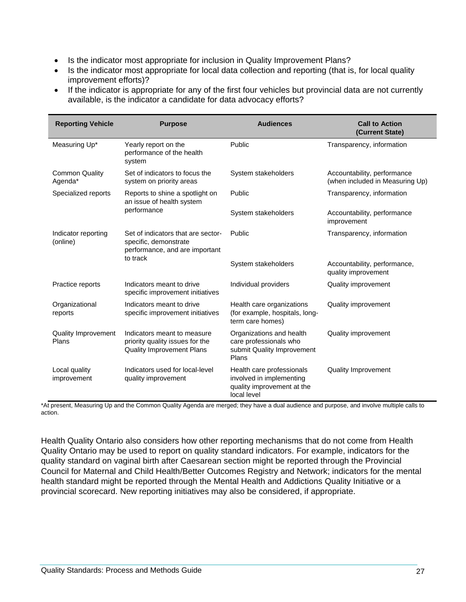- Is the indicator most appropriate for inclusion in Quality Improvement Plans?
- Is the indicator most appropriate for local data collection and reporting (that is, for local quality improvement efforts)?
- If the indicator is appropriate for any of the first four vehicles but provincial data are not currently available, is the indicator a candidate for data advocacy efforts?

| <b>Reporting Vehicle</b>            | <b>Purpose</b>                                                                                            | <b>Audiences</b>                                                                                   | <b>Call to Action</b><br>(Current State)                       |
|-------------------------------------|-----------------------------------------------------------------------------------------------------------|----------------------------------------------------------------------------------------------------|----------------------------------------------------------------|
| Measuring Up*                       | Yearly report on the<br>performance of the health<br>system                                               | Public                                                                                             | Transparency, information                                      |
| <b>Common Quality</b><br>Agenda*    | Set of indicators to focus the<br>system on priority areas                                                | System stakeholders                                                                                | Accountability, performance<br>(when included in Measuring Up) |
| Specialized reports                 | Reports to shine a spotlight on<br>an issue of health system<br>performance                               | Public                                                                                             | Transparency, information                                      |
|                                     |                                                                                                           | System stakeholders                                                                                | Accountability, performance<br>improvement                     |
| Indicator reporting<br>(online)     | Set of indicators that are sector-<br>specific, demonstrate<br>performance, and are important<br>to track | Public                                                                                             | Transparency, information                                      |
|                                     |                                                                                                           | System stakeholders                                                                                | Accountability, performance,<br>quality improvement            |
| Practice reports                    | Indicators meant to drive<br>specific improvement initiatives                                             | Individual providers                                                                               | Quality improvement                                            |
| Organizational<br>reports           | Indicators meant to drive<br>specific improvement initiatives                                             | Health care organizations<br>(for example, hospitals, long-<br>term care homes)                    | Quality improvement                                            |
| <b>Quality Improvement</b><br>Plans | Indicators meant to measure<br>priority quality issues for the<br><b>Quality Improvement Plans</b>        | Organizations and health<br>care professionals who<br>submit Quality Improvement<br>Plans          | Quality improvement                                            |
| Local quality<br>improvement        | Indicators used for local-level<br>quality improvement                                                    | Health care professionals<br>involved in implementing<br>quality improvement at the<br>local level | <b>Quality Improvement</b>                                     |

\*At present, Measuring Up and the Common Quality Agenda are merged; they have a dual audience and purpose, and involve multiple calls to action.

Health Quality Ontario also considers how other reporting mechanisms that do not come from Health Quality Ontario may be used to report on quality standard indicators. For example, indicators for the quality standard on vaginal birth after Caesarean section might be reported through the Provincial Council for Maternal and Child Health/Better Outcomes Registry and Network; indicators for the mental health standard might be reported through the Mental Health and Addictions Quality Initiative or a provincial scorecard. New reporting initiatives may also be considered, if appropriate.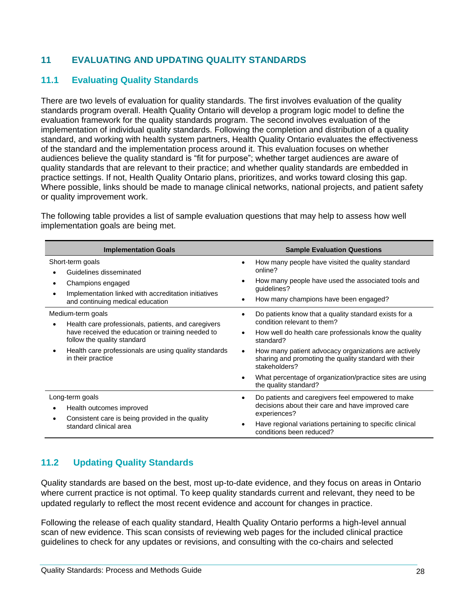#### **11 EVALUATING AND UPDATING QUALITY STANDARDS**

#### **11.1 Evaluating Quality Standards**

There are two levels of evaluation for quality standards. The first involves evaluation of the quality standards program overall. Health Quality Ontario will develop a program logic model to define the evaluation framework for the quality standards program. The second involves evaluation of the implementation of individual quality standards. Following the completion and distribution of a quality standard, and working with health system partners, Health Quality Ontario evaluates the effectiveness of the standard and the implementation process around it. This evaluation focuses on whether audiences believe the quality standard is "fit for purpose"; whether target audiences are aware of quality standards that are relevant to their practice; and whether quality standards are embedded in practice settings. If not, Health Quality Ontario plans, prioritizes, and works toward closing this gap. Where possible, links should be made to manage clinical networks, national projects, and patient safety or quality improvement work.

The following table provides a list of sample evaluation questions that may help to assess how well implementation goals are being met.

| <b>Implementation Goals</b>                                                                                                                                                                                                                | <b>Sample Evaluation Questions</b>                                                                                                                                                                                                                                                                                                                                                                           |  |
|--------------------------------------------------------------------------------------------------------------------------------------------------------------------------------------------------------------------------------------------|--------------------------------------------------------------------------------------------------------------------------------------------------------------------------------------------------------------------------------------------------------------------------------------------------------------------------------------------------------------------------------------------------------------|--|
| Short-term goals<br>Guidelines disseminated<br>Champions engaged<br>Implementation linked with accreditation initiatives<br>and continuing medical education                                                                               | How many people have visited the quality standard<br>online?<br>How many people have used the associated tools and<br>٠<br>guidelines?<br>How many champions have been engaged?                                                                                                                                                                                                                              |  |
| Medium-term goals<br>Health care professionals, patients, and caregivers<br>have received the education or training needed to<br>follow the quality standard<br>Health care professionals are using quality standards<br>in their practice | Do patients know that a quality standard exists for a<br>condition relevant to them?<br>How well do health care professionals know the quality<br>$\bullet$<br>standard?<br>How many patient advocacy organizations are actively<br>$\bullet$<br>sharing and promoting the quality standard with their<br>stakeholders?<br>What percentage of organization/practice sites are using<br>the quality standard? |  |
| Long-term goals<br>Health outcomes improved<br>Consistent care is being provided in the quality<br>standard clinical area                                                                                                                  | Do patients and caregivers feel empowered to make<br>decisions about their care and have improved care<br>experiences?<br>Have regional variations pertaining to specific clinical<br>conditions been reduced?                                                                                                                                                                                               |  |

#### **11.2 Updating Quality Standards**

Quality standards are based on the best, most up-to-date evidence, and they focus on areas in Ontario where current practice is not optimal. To keep quality standards current and relevant, they need to be updated regularly to reflect the most recent evidence and account for changes in practice.

Following the release of each quality standard, Health Quality Ontario performs a high-level annual scan of new evidence. This scan consists of reviewing web pages for the included clinical practice guidelines to check for any updates or revisions, and consulting with the co-chairs and selected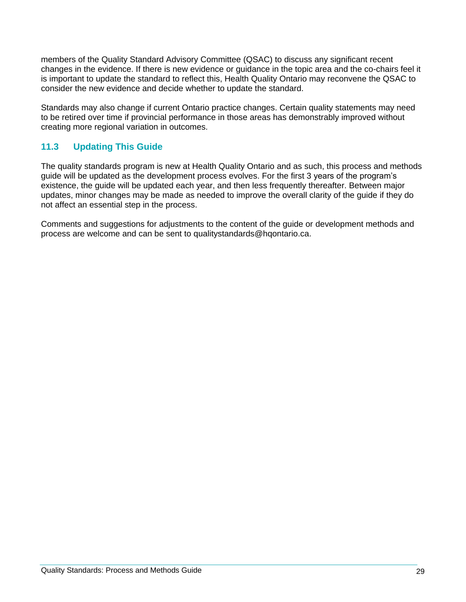members of the Quality Standard Advisory Committee (QSAC) to discuss any significant recent changes in the evidence. If there is new evidence or guidance in the topic area and the co-chairs feel it is important to update the standard to reflect this, Health Quality Ontario may reconvene the QSAC to consider the new evidence and decide whether to update the standard.

Standards may also change if current Ontario practice changes. Certain quality statements may need to be retired over time if provincial performance in those areas has demonstrably improved without creating more regional variation in outcomes.

#### **11.3 Updating This Guide**

The quality standards program is new at Health Quality Ontario and as such, this process and methods guide will be updated as the development process evolves. For the first 3 years of the program's existence, the guide will be updated each year, and then less frequently thereafter. Between major updates, minor changes may be made as needed to improve the overall clarity of the guide if they do not affect an essential step in the process.

Comments and suggestions for adjustments to the content of the guide or development methods and process are welcome and can be sent to [qualitystandards@hqontario.ca.](mailto:qualitystandards@hqontario.ca)